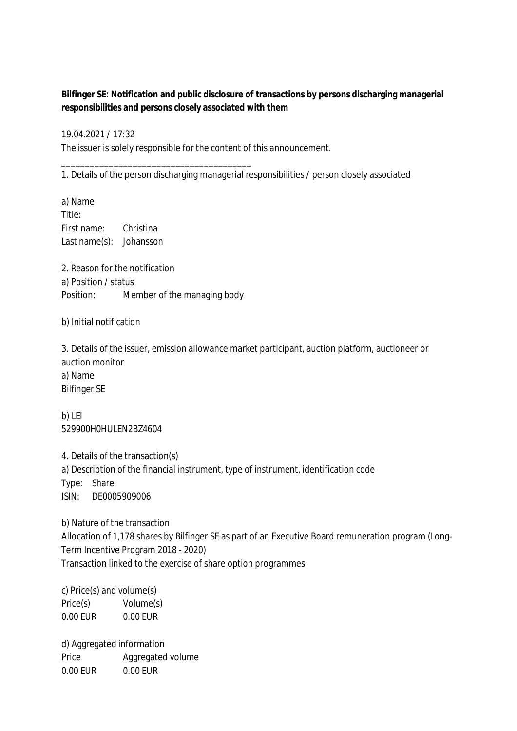**Bilfinger SE: Notification and public disclosure of transactions by persons discharging managerial responsibilities and persons closely associated with them**

19.04.2021 / 17:32 The issuer is solely responsible for the content of this announcement.

1. Details of the person discharging managerial responsibilities / person closely associated

a) Name Title: First name: Christina Last name(s): Johansson

2. Reason for the notification a) Position / status Position: Member of the managing body

\_\_\_\_\_\_\_\_\_\_\_\_\_\_\_\_\_\_\_\_\_\_\_\_\_\_\_\_\_\_\_\_\_\_\_\_\_\_\_\_

b) Initial notification

3. Details of the issuer, emission allowance market participant, auction platform, auctioneer or auction monitor a) Name Bilfinger SE

b) LEI 529900H0HULEN2BZ4604

4. Details of the transaction(s) a) Description of the financial instrument, type of instrument, identification code Type: Share ISIN: DE0005909006

b) Nature of the transaction Allocation of 1,178 shares by Bilfinger SE as part of an Executive Board remuneration program (Long-Term Incentive Program 2018 - 2020) Transaction linked to the exercise of share option programmes

c) Price(s) and volume(s) Price(s) Volume(s) 0.00 EUR 0.00 EUR

d) Aggregated information Price Aggregated volume 0.00 EUR 0.00 EUR